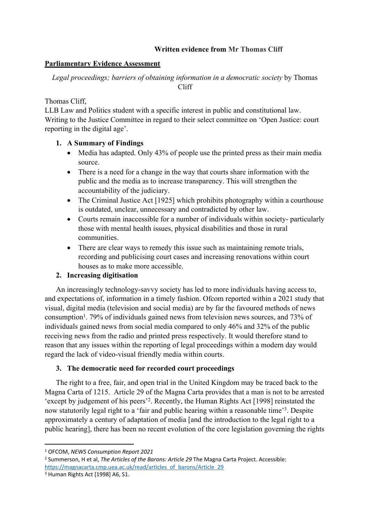## **Written evidence from Mr Thomas Cliff**

## **Parliamentary Evidence Assessment**

*Legal proceedings; barriers of obtaining information in a democratic society* by Thomas Cliff

## Thomas Cliff

LLB Law and Politics student with a specific interest in public and constitutional law. Writing to the Justice Committee in regard to their select committee on 'Open Justice: court reporting in the digital age'.

# **1. A Summary of Findings**

- Media has adapted. Only 43% of people use the printed press as their main media source.
- There is a need for a change in the way that courts share information with the public and the media as to increase transparency. This will strengthen the accountability of the judiciary.
- The Criminal Justice Act [1925] which prohibits photography within a courthouse is outdated, unclear, unnecessary and contradicted by other law.
- Courts remain inaccessible for a number of individuals within society- particularly those with mental health issues, physical disabilities and those in rural communities.
- There are clear ways to remedy this issue such as maintaining remote trials, recording and publicising court cases and increasing renovations within court houses as to make more accessible.

# **2. Increasing digitisation**

An increasingly technology-savvy society has led to more individuals having access to, and expectations of, information in a timely fashion. Ofcom reported within a 2021 study that visual, digital media (television and social media) are by far the favoured methods of news consumption<sup>1</sup>. 79% of individuals gained news from television news sources, and 73% of individuals gained news from social media compared to only 46% and 32% of the public receiving news from the radio and printed press respectively. It would therefore stand to reason that any issues within the reporting of legal proceedings within a modern day would regard the lack of video-visual friendly media within courts.

# **3. The democratic need for recorded court proceedings**

The right to a free, fair, and open trial in the United Kingdom may be traced back to the Magna Carta of 1215. Article 29 of the Magna Carta provides that a man is not to be arrested 'except by judgement of his peers'<sup>2</sup> . Recently, the Human Rights Act [1998] reinstated the now statutorily legal right to a 'fair and public hearing within a reasonable time'<sup>3</sup>. Despite approximately a century of adaptation of media [and the introduction to the legal right to a public hearing], there has been no recent evolution of the core legislation governing the rights

<sup>1</sup> OFCOM, *NEWS Consumption Report 2021*

<sup>2</sup> Summerson, H et al, *The Articles of the Barons: Article 29* The Magna Carta Project. Accessible: [https://magnacarta.cmp.uea.ac.uk/read/articles\\_of\\_barons/Article\\_29](https://magnacarta.cmp.uea.ac.uk/read/articles_of_barons/Article_29)

<sup>3</sup> Human Rights Act [1998] A6, S1.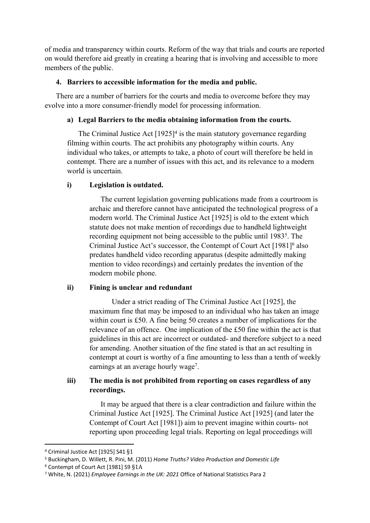of media and transparency within courts. Reform of the way that trials and courts are reported on would therefore aid greatly in creating a hearing that is involving and accessible to more members of the public.

## **4. Barriers to accessible information for the media and public.**

There are a number of barriers for the courts and media to overcome before they may evolve into a more consumer-friendly model for processing information.

## **a) Legal Barriers to the media obtaining information from the courts.**

The Criminal Justice Act  $[1925]^4$  is the main statutory governance regarding filming within courts. The act prohibits any photography within courts. Any individual who takes, or attempts to take, a photo of court will therefore be held in contempt. There are a number of issues with this act, and its relevance to a modern world is uncertain.

## **i) Legislation is outdated.**

The current legislation governing publications made from a courtroom is archaic and therefore cannot have anticipated the technological progress of a modern world. The Criminal Justice Act [1925] is old to the extent which statute does not make mention of recordings due to handheld lightweight recording equipment not being accessible to the public until 1983<sup>5</sup>. The Criminal Justice Act's successor, the Contempt of Court Act [1981]<sup>6</sup> also predates handheld video recording apparatus (despite admittedly making mention to video recordings) and certainly predates the invention of the modern mobile phone.

# **ii) Fining is unclear and redundant**

Under a strict reading of The Criminal Justice Act [1925], the maximum fine that may be imposed to an individual who has taken an image within court is £50. A fine being 50 creates a number of implications for the relevance of an offence. One implication of the £50 fine within the act is that guidelines in this act are incorrect or outdated- and therefore subject to a need for amending. Another situation of the fine stated is that an act resulting in contempt at court is worthy of a fine amounting to less than a tenth of weekly earnings at an average hourly wage<sup>7</sup>.

# **iii) The media is not prohibited from reporting on cases regardless of any recordings.**

It may be argued that there is a clear contradiction and failure within the Criminal Justice Act [1925]. The Criminal Justice Act [1925] (and later the Contempt of Court Act [1981]) aim to prevent imagine within courts- not reporting upon proceeding legal trials. Reporting on legal proceedings will

<sup>4</sup> Criminal Justice Act [1925] S41 §1

<sup>5</sup> Buckingham, D. Willett, R. Pini, M. (2011) *Home Truths? Video Production and Domestic Life*

<sup>6</sup> Contempt of Court Act [1981] S9 §1A

<sup>7</sup> White, N. (2021) *Employee Earnings in the UK: 2021* Office of National Statistics Para 2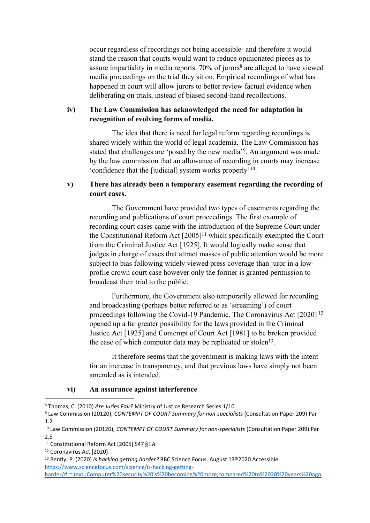occur regardless of recordings not being accessible- and therefore it would stand the reason that courts would want to reduce opinionated pieces as to assure impartiality in media reports. 70% of jurors<sup>8</sup> are alleged to have viewed media proceedings on the trial they sit on. Empirical recordings of what has happened in court will allow jurors to better review factual evidence when deliberating on trials, instead of biased second-hand recollections.

## **iv) The Law Commission has acknowledged the need for adaptation in recognition of evolving forms of media.**

The idea that there is need for legal reform regarding recordings is shared widely within the world of legal academia. The Law Commission has stated that challenges are 'posed by the new media'<sup>9</sup>. An argument was made by the law commission that an allowance of recording in courts may increase 'confidence that the [judicial] system works properly'<sup>10</sup> .

## **v) There has already been a temporary easement regarding the recording of court cases.**

The Government have provided two types of easements regarding the recording and publications of court proceedings. The first example of recording court cases came with the introduction of the Supreme Court under the Constitutional Reform Act [2005]<sup>11</sup> which specifically exempted the Court from the Criminal Justice Act [1925]. It would logically make sense that judges in charge of cases that attract masses of public attention would be more subject to bias following widely viewed press coverage than juror in a lowprofile crown court case however only the former is granted permission to broadcast their trial to the public.

Furthermore, the Government also temporarily allowed for recording and broadcasting (perhaps better referred to as 'streaming') of court proceedings following the Covid-19 Pandemic. The Coronavirus Act [2020] <sup>12</sup> opened up a far greater possibility for the laws provided in the Criminal Justice Act [1925] and Contempt of Court Act [1981] to be broken provided the ease of which computer data may be replicated or stolen<sup>13</sup>.

It therefore seems that the government is making laws with the intent for an increase in transparency, and that previous laws have simply not been amended as is intended.

#### **vi) An assurance against interference**

<sup>8</sup> Thomas, C. (2010) *Are Juries Fair?* Ministry of Justice Research Series 1/10

<sup>9</sup> Law Commission (20120), *CONTEMPT OF COURT Summary for non-specialists* (Consultation Paper 209) Par 1.2

<sup>10</sup> Law Commission (20120), *CONTEMPT OF COURT Summary for non-specialists* (Consultation Paper 209) Par 2.5

<sup>11</sup> Constitutional Reform Act [2005] S47 §1A

<sup>12</sup> Coronavirus Act [2020]

<sup>13</sup> Bently, P. (2020) *Is hacking getting harder?* BBC Science Focus. August 13th2020 Accessible: [https://www.sciencefocus.com/science/is-hacking-getting-](https://www.sciencefocus.com/science/is-hacking-getting-harder/#:~:text=Computer%20security%20is%20becoming%20more,compared%20to%2020%20years%20ago)

[harder/#:~:text=Computer%20security%20is%20becoming%20more,compared%20to%2020%20years%20ago.](https://www.sciencefocus.com/science/is-hacking-getting-harder/#:~:text=Computer%20security%20is%20becoming%20more,compared%20to%2020%20years%20ago)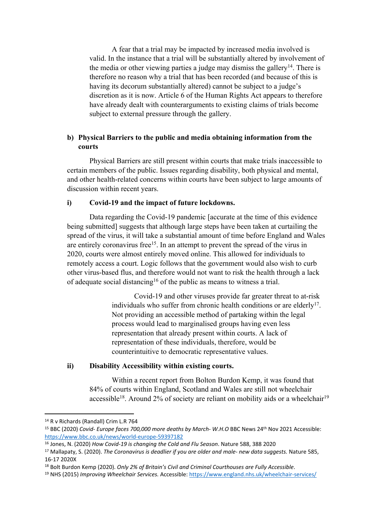A fear that a trial may be impacted by increased media involved is valid. In the instance that a trial will be substantially altered by involvement of the media or other viewing parties a judge may dismiss the gallery<sup>14</sup>. There is therefore no reason why a trial that has been recorded (and because of this is having its decorum substantially altered) cannot be subject to a judge's discretion as it is now. Article 6 of the Human Rights Act appears to therefore have already dealt with counterarguments to existing claims of trials become subject to external pressure through the gallery.

## **b) Physical Barriers to the public and media obtaining information from the courts**

Physical Barriers are still present within courts that make trials inaccessible to certain members of the public. Issues regarding disability, both physical and mental, and other health-related concerns within courts have been subject to large amounts of discussion within recent years.

### **i) Covid-19 and the impact of future lockdowns.**

Data regarding the Covid-19 pandemic [accurate at the time of this evidence being submitted] suggests that although large steps have been taken at curtailing the spread of the virus, it will take a substantial amount of time before England and Wales are entirely coronavirus free<sup>15</sup>. In an attempt to prevent the spread of the virus in 2020, courts were almost entirely moved online. This allowed for individuals to remotely access a court. Logic follows that the government would also wish to curb other virus-based flus, and therefore would not want to risk the health through a lack of adequate social distancing<sup>16</sup> of the public as means to witness a trial.

> Covid-19 and other viruses provide far greater threat to at-risk individuals who suffer from chronic health conditions or are elderly<sup>17</sup>. Not providing an accessible method of partaking within the legal process would lead to marginalised groups having even less representation that already present within courts. A lack of representation of these individuals, therefore, would be counterintuitive to democratic representative values.

#### **ii) Disability Accessibility within existing courts.**

Within a recent report from Bolton Burdon Kemp, it was found that 84% of courts within England, Scotland and Wales are still not wheelchair accessible<sup>18</sup>. Around 2% of society are reliant on mobility aids or a wheelchair<sup>19</sup>

<sup>14</sup> R v Richards (Randall) Crim L.R 764

<sup>15</sup> BBC (2020) *Covid- Europe faces 700,000 more deaths by March- W.H.O* BBC News 24th Nov 2021 Accessible: <https://www.bbc.co.uk/news/world-europe-59397182>

<sup>16</sup> Jones, N. (2020) *How Covid-19 is changing the Cold and Flu Season*. Nature 588, 388 2020

<sup>17</sup> Mallapaty, S. (2020). *The Coronavirus is deadlier if you are older and male- new data suggests.* Nature 585, 16-17 2020X

<sup>18</sup> Bolt Burdon Kemp (2020). *Only 2% of Britain's Civil and Criminal Courthouses are Fully Accessible*.

<sup>19</sup> NHS (2015) *Improving Wheelchair Services.* Accessible: <https://www.england.nhs.uk/wheelchair-services/>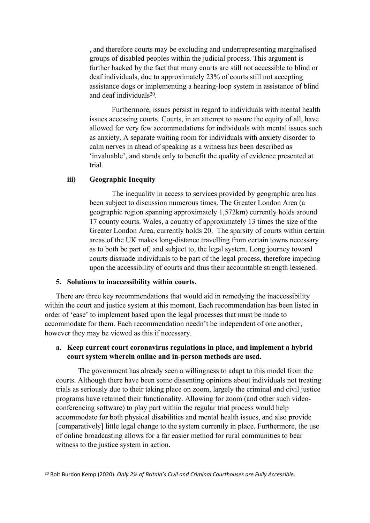, and therefore courts may be excluding and underrepresenting marginalised groups of disabled peoples within the judicial process. This argument is further backed by the fact that many courts are still not accessible to blind or deaf individuals, due to approximately 23% of courts still not accepting assistance dogs or implementing a hearing-loop system in assistance of blind and deaf individuals<sup>20</sup>.

Furthermore, issues persist in regard to individuals with mental health issues accessing courts. Courts, in an attempt to assure the equity of all, have allowed for very few accommodations for individuals with mental issues such as anxiety. A separate waiting room for individuals with anxiety disorder to calm nerves in ahead of speaking as a witness has been described as 'invaluable', and stands only to benefit the quality of evidence presented at trial.

#### **iii) Geographic Inequity**

The inequality in access to services provided by geographic area has been subject to discussion numerous times. The Greater London Area (a geographic region spanning approximately 1,572km) currently holds around 17 county courts. Wales, a country of approximately 13 times the size of the Greater London Area, currently holds 20. The sparsity of courts within certain areas of the UK makes long-distance travelling from certain towns necessary as to both be part of, and subject to, the legal system. Long journey toward courts dissuade individuals to be part of the legal process, therefore impeding upon the accessibility of courts and thus their accountable strength lessened.

#### **5. Solutions to inaccessibility within courts.**

There are three key recommendations that would aid in remedying the inaccessibility within the court and justice system at this moment. Each recommendation has been listed in order of 'ease' to implement based upon the legal processes that must be made to accommodate for them. Each recommendation needn't be independent of one another, however they may be viewed as this if necessary.

### **a. Keep current court coronavirus regulations in place, and implement a hybrid court system wherein online and in-person methods are used.**

The government has already seen a willingness to adapt to this model from the courts. Although there have been some dissenting opinions about individuals not treating trials as seriously due to their taking place on zoom, largely the criminal and civil justice programs have retained their functionality. Allowing for zoom (and other such videoconferencing software) to play part within the regular trial process would help accommodate for both physical disabilities and mental health issues, and also provide [comparatively] little legal change to the system currently in place. Furthermore, the use of online broadcasting allows for a far easier method for rural communities to bear witness to the justice system in action.

<sup>20</sup> Bolt Burdon Kemp (2020). *Only 2% of Britain's Civil and Criminal Courthouses are Fully Accessible*.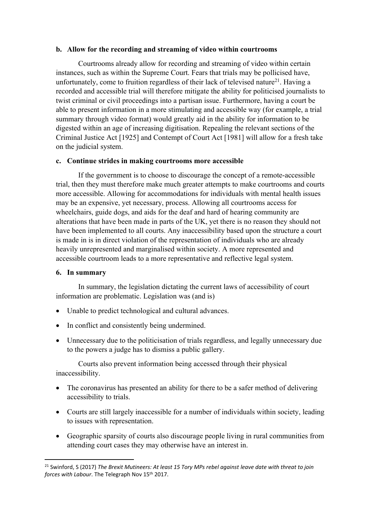### **b. Allow for the recording and streaming of video within courtrooms**

Courtrooms already allow for recording and streaming of video within certain instances, such as within the Supreme Court. Fears that trials may be pollicised have, unfortunately, come to fruition regardless of their lack of televised nature<sup>21</sup>. Having a recorded and accessible trial will therefore mitigate the ability for politicised journalists to twist criminal or civil proceedings into a partisan issue. Furthermore, having a court be able to present information in a more stimulating and accessible way (for example, a trial summary through video format) would greatly aid in the ability for information to be digested within an age of increasing digitisation. Repealing the relevant sections of the Criminal Justice Act [1925] and Contempt of Court Act [1981] will allow for a fresh take on the judicial system.

## **c. Continue strides in making courtrooms more accessible**

If the government is to choose to discourage the concept of a remote-accessible trial, then they must therefore make much greater attempts to make courtrooms and courts more accessible. Allowing for accommodations for individuals with mental health issues may be an expensive, yet necessary, process. Allowing all courtrooms access for wheelchairs, guide dogs, and aids for the deaf and hard of hearing community are alterations that have been made in parts of the UK, yet there is no reason they should not have been implemented to all courts. Any inaccessibility based upon the structure a court is made in is in direct violation of the representation of individuals who are already heavily unrepresented and marginalised within society. A more represented and accessible courtroom leads to a more representative and reflective legal system.

## **6. In summary**

In summary, the legislation dictating the current laws of accessibility of court information are problematic. Legislation was (and is)

- Unable to predict technological and cultural advances.
- In conflict and consistently being undermined.
- Unnecessary due to the politicisation of trials regardless, and legally unnecessary due to the powers a judge has to dismiss a public gallery.

Courts also prevent information being accessed through their physical inaccessibility.

- The coronavirus has presented an ability for there to be a safer method of delivering accessibility to trials.
- Courts are still largely inaccessible for a number of individuals within society, leading to issues with representation.
- Geographic sparsity of courts also discourage people living in rural communities from attending court cases they may otherwise have an interest in.

<sup>21</sup> Swinford, S (2017) *The Brexit Mutineers: At least 15 Tory MPs rebel against leave date with threat to join forces with Labour*. The Telegraph Nov 15th 2017.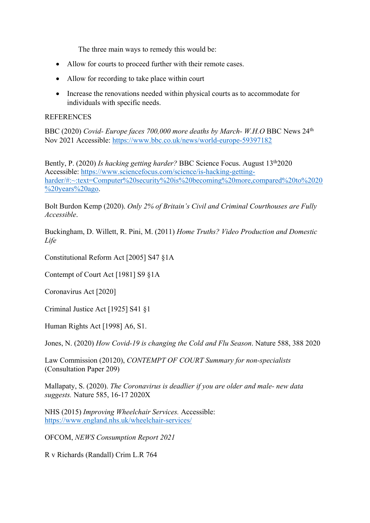The three main ways to remedy this would be:

- Allow for courts to proceed further with their remote cases.
- Allow for recording to take place within court
- Increase the renovations needed within physical courts as to accommodate for individuals with specific needs.

### **REFERENCES**

BBC (2020) *Covid- Europe faces 700,000 more deaths by March- W.H.O* BBC News 24th Nov 2021 Accessible: <https://www.bbc.co.uk/news/world-europe-59397182>

Bently, P. (2020) *Is hacking getting harder?* BBC Science Focus. August 13th2020 Accessible: [https://www.sciencefocus.com/science/is-hacking-getting](https://www.sciencefocus.com/science/is-hacking-getting-harder/#:~:text=Computer%20security%20is%20becoming%20more,compared%20to%2020%20years%20ago)[harder/#:~:text=Computer%20security%20is%20becoming%20more,compared%20to%2020](https://www.sciencefocus.com/science/is-hacking-getting-harder/#:~:text=Computer%20security%20is%20becoming%20more,compared%20to%2020%20years%20ago) [%20years%20ago.](https://www.sciencefocus.com/science/is-hacking-getting-harder/#:~:text=Computer%20security%20is%20becoming%20more,compared%20to%2020%20years%20ago)

Bolt Burdon Kemp (2020). *Only 2% of Britain's Civil and Criminal Courthouses are Fully Accessible*.

Buckingham, D. Willett, R. Pini, M. (2011) *Home Truths? Video Production and Domestic Life*

Constitutional Reform Act [2005] S47 §1A

Contempt of Court Act [1981] S9 §1A

Coronavirus Act [2020]

Criminal Justice Act [1925] S41 §1

Human Rights Act [1998] A6, S1.

Jones, N. (2020) *How Covid-19 is changing the Cold and Flu Season*. Nature 588, 388 2020

Law Commission (20120), *CONTEMPT OF COURT Summary for non-specialists* (Consultation Paper 209)

Mallapaty, S. (2020). *The Coronavirus is deadlier if you are older and male- new data suggests.* Nature 585, 16-17 2020X

NHS (2015) *Improving Wheelchair Services.* Accessible: <https://www.england.nhs.uk/wheelchair-services/>

OFCOM, *NEWS Consumption Report 2021*

R v Richards (Randall) Crim L.R 764